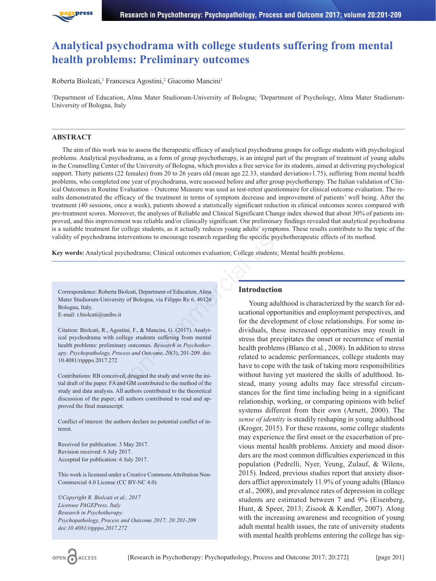

# **Analytical psychodrama with college students suffering from mental health problems: Preliminary outcomes**

Roberta Biolcati,<sup>1</sup> Francesca Agostini,<sup>2</sup> Giacomo Mancini<sup>1</sup>

<sup>1</sup>Department of Education, Alma Mater Studiorum-University of Bologna; <sup>2</sup>Department of Psychology, Alma Mater Studiorum-University of Bologna, Italy

### **ABSTRACT**

The aim of this work was to assess the therapeutic efficacy of analytical psychodrama groups for college students with psychological problems. Analytical psychodrama, as a form of group psychotherapy, is an integral part of the program of treatment of young adults in the Counselling Center of the University of Bologna, which provides a free service for its students, aimed at delivering psychological support. Thirty patients (22 females) from 20 to 26 years old (mean age 22.33, standard deviation $\pm 1.75$ ), suffering from mental health problems, who completed one year of psychodrama, were assessed before and after group psychotherapy. The Italian validation of Clinical Outcomes in Routine Evaluation – Outcome Measure was used as test-retest questionnaire for clinical outcome evaluation. The results demonstrated the efficacy of the treatment in terms of symptom decrease and improvement of patients' well being. After the treatment (40 sessions, once a week), patients showed a statistically significant reduction in clinical outcomes scores compared with pre-treatment scores. Moreover, the analyses of Reliable and Clinical Significant Change index showed that about 30% of patients improved, and this improvement was reliable and/or clinically significant. Our preliminary findings revealed that analytical psychodrama is a suitable treatment for college students, as it actually reduces young adults' symptoms. These results contribute to the topic of the validity of psychodrama interventions to encourage research regarding the specific psychotherapeutic effects of its method. Evaluation — Outcome Measure was used as test-retet questionnaire for cininear<br>
efficacy of the treatment in terms of symptom decrease and improvement of p<br>
once a week), patients showed a statistically significant reducti

**Key words:** Analytical psychodrama; Clinical outcomes evaluation; College students; Mental health problems.

Correspondence: Roberta Biolcati, Department of Education, Alma Mater Studiorum-University of Bologna, via Filippo Re 6, 40126 Bologna, Italy.

E-mail: r.biolcati@unibo.it

Citation: Biolcati, R., Agostini, F., & Mancini, G. (2017). Analytical psychodrama with college students suffering from mental health problems: preliminary outcomes. *Research in Psychotherapy: Psychopathology, Process and Outcome, 20*(3), 201-209. doi: 10.4081/ripppo.2017.272

Contributions: RB conceived, designed the study and wrote the initial draft of the paper. FA and GM contributed to the method of the study and data analysis. All authors contributed to the theoretical discussion of the paper; all authors contributed to read and approved the final manuscript.

Conflict of interest: the authors declare no potential conflict of interest.

Received for publication: 3 May 2017. Revision received: 6 July 2017. Accepted for publication: 6 July 2017.

This work is licensed under a Creative Commons Attribution Non-Commercial 4.0 License (CC BY-NC 4.0).

*©Copyright R. Biolcati et al., 2017 Licensee PAGEPress, Italy Research in Psychotherapy: Psychopathology, Process and Outcome 2017; 20:201-209 doi:10.4081/ripppo.2017.272*

# **Introduction**

Young adulthood is characterized by the search for educational opportunities and employment perspectives, and for the development of close relationships. For some individuals, these increased opportunities may result in stress that precipitates the onset or recurrence of mental health problems (Blanco et al., 2008). In addition to stress related to academic performances, college students may have to cope with the task of taking more responsibilities without having yet mastered the skills of adulthood. Instead, many young adults may face stressful circumstances for the first time including being in a significant relationship, working, or comparing opinions with belief systems different from their own (Arnett, 2000). The *sense of identity* is steadily reshaping in young adulthood (Kroger, 2015). For these reasons, some college students may experience the first onset or the exacerbation of previous mental health problems. Anxiety and mood disorders are the most common difficulties experienced in this population (Pedrelli, Nyer, Yeung, Zulauf, & Wilens, 2015). Indeed, previous studies report that anxiety disorders afflict approximately 11.9% of young adults (Blanco et al., 2008), and prevalence rates of depression in college students are estimated between 7 and 9% (Eisenberg, Hunt, & Speer, 2013; Zisook & Kendler, 2007). Along with the increasing awareness and recognition of young adult mental health issues, the rate of university students with mental health problems entering the college has sig-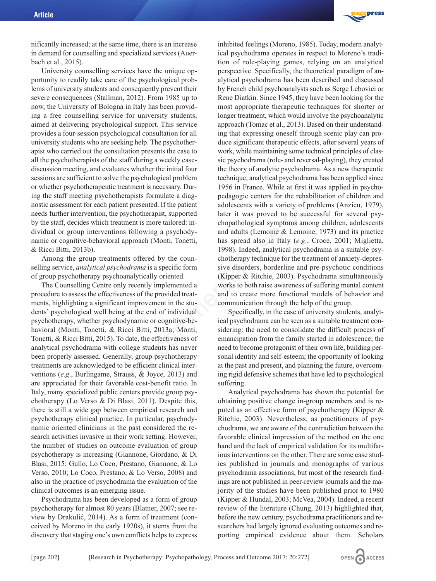nificantly increased; at the same time, there is an increase in demand for counselling and specialized services (Auerbach et al., 2015).

University counselling services have the unique opportunity to readily take care of the psychological problems of university students and consequently prevent their severe consequences (Stallman, 2012). From 1985 up to now, the University of Bologna in Italy has been providing a free counselling service for university students, aimed at delivering psychological support. This service provides a four-session psychological consultation for all university students who are seeking help. The psychotherapist who carried out the consultation presents the case to all the psychotherapists of the staff during a weekly casediscussion meeting, and evaluates whether the initial four sessions are sufficient to solve the psychological problem or whether psychotherapeutic treatment is necessary. During the staff meeting psychotherapists formulate a diagnostic assessment for each patient presented. If the patient needs further intervention, the psychotherapist, supported by the staff, decides which treatment is more tailored: individual or group interventions following a psychodynamic or cognitive-behavioral approach (Monti, Tonetti, & Ricci Bitti, 2013b).

Among the group treatments offered by the counselling service, *analytical psychodrama* is a specific form of group psychotherapy psychoanalytically oriented.

The Counselling Centre only recently implemented a procedure to assess the effectiveness of the provided treatments, highlighting a significant improvement in the students' psychological well being at the end of individual psychotherapy, whether psychodynamic or cognitive-behavioral (Monti, Tonetti, & Ricci Bitti, 2013a; Monti, Tonetti, & Ricci Bitti, 2015). To date, the effectiveness of analytical psychodrama with college students has never been properly assessed. Generally, group psychotherapy treatments are acknowledged to be efficient clinical interventions (*e.g*., Burlingame, Strauss, & Joyce, 2013) and are appreciated for their favorable cost-benefit ratio. In Italy, many specialized public centers provide group psychotherapy (Lo Verso & Di Blasi, 2011). Despite this, there is still a wide gap between empirical research and psychotherapy clinical practice. In particular, psychodynamic oriented clinicians in the past considered the research activities invasive in their work setting. However, the number of studies on outcome evaluation of group psychotherapy is increasing (Giannone, Giordano, & Di Blasi, 2015; Gullo, Lo Coco, Prestano, Giannone, & Lo Verso, 2010; Lo Coco, Prestano, & Lo Verso, 2008) and also in the practice of psychodrama the evaluation of the clinical outcomes is an emerging issue.

Psychodrama has been developed as a form of group psychotherapy for almost 80 years (Blatner, 2007; see review by Drakulić, 2014). As a form of treatment (conceived by Moreno in the early 1920s), it stems from the discovery that staging one's own conflicts helps to express



inhibited feelings (Moreno, 1985). Today, modern analytical psychodrama operates in respect to Moreno's tradition of role-playing games, relying on an analytical perspective. Specifically, the theoretical paradigm of analytical psychodrama has been described and discussed by French child psychoanalysts such as Serge Lebovici or Rene Diatkin. Since 1945, they have been looking for the most appropriate therapeutic techniques for shorter or longer treatment, which would involve the psychoanalytic approach (Tomac et al., 2013). Based on their understanding that expressing oneself through scenic play can produce significant therapeutic effects, after several years of work, while maintaining some technical principles of classic psychodrama (role- and reversal-playing), they created the theory of analytic psychodrama. As a new therapeutic technique, analytical psychodrama has been applied since 1956 in France. While at first it was applied in psychopedagogic centers for the rehabilitation of children and adolescents with a variety of problems (Anzieu, 1979), later it was proved to be successful for several psychopathological symptoms among children, adolescents and adults (Lemoine & Lemoine, 1973) and its practice has spread also in Italy (*e.g*., Croce, 2001; Miglietta, 1998). Indeed, analytical psychodrama is a suitable psychotherapy technique for the treatment of anxiety-depressive disorders, borderline and pre-psychotic conditions (Kipper & Ritchie, 2003). Psychodrama simultaneously works to both raise awareness of suffering mental content and to create more functional models of behavior and communication through the help of the group. Example to the provided the community of the search with the relation of the relation of the relation of the relation of the relation of the relation of the relation of the relation of the relation of the relation of the r

Specifically, in the case of university students, analytical psychodrama can be seen as a suitable treatment considering: the need to consolidate the difficult process of emancipation from the family started in adolescence; the need to become protagonist of their own life, building personal identity and self-esteem; the opportunity of looking at the past and present, and planning the future, overcoming rigid defensive schemes that have led to psychological suffering.

Analytical psychodrama has shown the potential for obtaining positive change in-group members and is reputed as an effective form of psychotherapy (Kipper & Ritchie, 2003). Nevertheless, as practitioners of psychodrama, we are aware of the contradiction between the favorable clinical impression of the method on the one hand and the lack of empirical validation for its multifarious interventions on the other. There are some case studies published in journals and monographs of various psychodrama associations, but most of the research findings are not published in peer-review journals and the majority of the studies have been published prior to 1980 (Kipper & Hundal, 2003; McVea, 2004). Indeed, a recent review of the literature (Chung, 2013) highlighted that, before the new century, psychodrama practitioners and researchers had largely ignored evaluating outcomes and reporting empirical evidence about them. Scholars

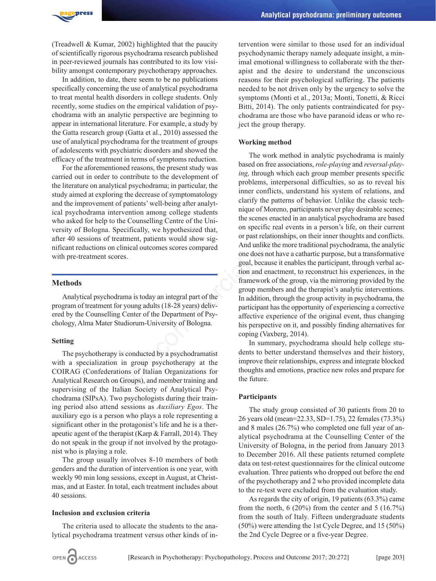

(Treadwell & Kumar, 2002) highlighted that the paucity of scientifically rigorous psychodrama research published in peer-reviewed journals has contributed to its low visibility amongst contemporary psychotherapy approaches.

In addition, to date, there seem to be no publications specifically concerning the use of analytical psychodrama to treat mental health disorders in college students. Only recently, some studies on the empirical validation of psychodrama with an analytic perspective are beginning to appear in international literature. For example, a study by the Gatta research group (Gatta et al., 2010) assessed the use of analytical psychodrama for the treatment of groups of adolescents with psychiatric disorders and showed the efficacy of the treatment in terms of symptoms reduction.

For the aforementioned reasons, the present study was carried out in order to contribute to the development of the literature on analytical psychodrama; in particular, the study aimed at exploring the decrease of symptomatology and the improvement of patients' well-being after analytical psychodrama intervention among college students who asked for help to the Counselling Centre of the University of Bologna. Specifically, we hypothesized that, after 40 sessions of treatment, patients would show significant reductions on clinical outcomes scores compared with pre-treatment scores.

# **Methods**

Analytical psychodrama is today an integral part of the program of treatment for young adults (18-28 years) delivered by the Counselling Center of the Department of Psychology, Alma Mater Studiorum-University of Bologna.

#### **Setting**

The psychotherapy is conducted by a psychodramatist with a specialization in group psychotherapy at the COIRAG (Confederations of Italian Organizations for Analytical Research on Groups), and member training and supervising of the Italian Society of Analytical Psychodrama (SIPsA). Two psychologists during their training period also attend sessions as *Auxiliary Egos*. The auxiliary ego is a person who plays a role representing a significant other in the protagonist's life and he is a therapeutic agent of the therapist (Karp & Farrall, 2014). They do not speak in the group if not involved by the protagonist who is playing a role.

The group usually involves 8-10 members of both genders and the duration of intervention is one year, with weekly 90 min long sessions, except in August, at Christmas, and at Easter. In total, each treatment includes about 40 sessions.

#### **Inclusion and exclusion criteria**

The criteria used to allocate the students to the analytical psychodrama treatment versus other kinds of intervention were similar to those used for an individual psychodynamic therapy namely adequate insight, a minimal emotional willingness to collaborate with the therapist and the desire to understand the unconscious reasons for their psychological suffering. The patients needed to be not driven only by the urgency to solve the symptoms (Monti et al., 2013a; Monti, Tonetti, & Ricci Bitti, 2014). The only patients contraindicated for psychodrama are those who have paranoid ideas or who reject the group therapy.

# **Working method**

The work method in analytic psychodrama is mainly based on free associations, *role-playing* and *reversal-playing,* through which each group member presents specific problems, interpersonal difficulties, so as to reveal his inner conflicts, understand his system of relations, and clarify the patterns of behavior. Unlike the classic technique of Moreno, participants never play desirable scenes; the scenes enacted in an analytical psychodrama are based on specific real events in a person's life, on their current or past relationships, on their inner thoughts and conflicts. And unlike the more traditional psychodrama, the analytic one does not have a cathartic purpose, but a transformative goal, because it enables the participant, through verbal action and enactment, to reconstruct his experiences, in the framework of the group, via the mirroring provided by the group members and the therapist's analytic interventions. In addition, through the group activity in psychodrama, the participant has the opportunity of experiencing a corrective affective experience of the original event, thus changing his perspective on it, and possibly finding alternatives for coping (Vaxberg, 2014). ing the decrease of symptomatology<br>
inner conflicts, understand his<br>
ing the decrease of symptomatology<br>
inner conflicts, understand his<br>
ingue of Moreno, participants<br>
ingue of Moreno, participants<br>
in (the Counselling Ce

In summary, psychodrama should help college students to better understand themselves and their history, improve their relationships, express and integrate blocked thoughts and emotions, practice new roles and prepare for the future.

#### **Participants**

The study group consisted of 30 patients from 20 to 26 years old (mean=22.33, SD=1.75), 22 females (73.3%) and 8 males (26.7%) who completed one full year of analytical psychodrama at the Counselling Center of the University of Bologna, in the period from January 2013 to December 2016. All these patients returned complete data on test-retest questionnaires for the clinical outcome evaluation. Three patients who dropped out before the end of the psychotherapy and 2 who provided incomplete data to the re-test were excluded from the evaluation study.

As regards the city of origin, 19 patients (63.3%) came from the north,  $6(20\%)$  from the center and  $5(16.7\%)$ from the south of Italy. Fifteen undergraduate students (50%) were attending the 1st Cycle Degree, and 15 (50%) the 2nd Cycle Degree or a five-year Degree.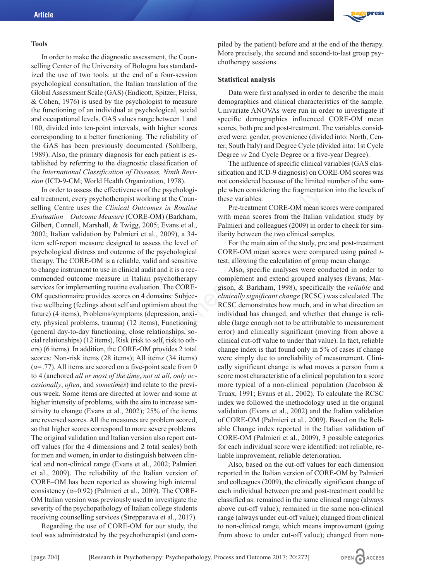#### **Tools**

In order to make the diagnostic assessment, the Counselling Center of the University of Bologna has standardized the use of two tools: at the end of a four-session psychological consultation, the Italian translation of the Global Assessment Scale (GAS) (Endicott, Spitzer, Fleiss, & Cohen, 1976) is used by the psychologist to measure the functioning of an individual at psychological, social and occupational levels. GAS values range between 1 and 100, divided into ten-point intervals, with higher scores corresponding to a better functioning. The reliability of the GAS has been previously documented (Sohlberg, 1989). Also, the primary diagnosis for each patient is established by referring to the diagnostic classification of the *International Classification of Diseases, Ninth Revision* (ICD-9-CM; World Health Organization, 1978).

In order to assess the effectiveness of the psychological treatment, every psychotherapist working at the Counselling Centre uses the *Clinical Outcomes in Routine Evaluation – Outcome Measure* (CORE-OM) (Barkham, Gilbert, Connell, Marshall, & Twigg, 2005; Evans et al., 2002; Italian validation by Palmieri et al., 2009), a 34 item self-report measure designed to assess the level of psychological distress and outcome of the psychological therapy. The CORE-OM is a reliable, valid and sensitive to change instrument to use in clinical audit and it is a recommended outcome measure in Italian psychotherapy services for implementing routine evaluation. The CORE-OM questionnaire provides scores on 4 domains: Subjective wellbeing (feelings about self and optimism about the future) (4 items), Problems/symptoms (depression, anxiety, physical problems, trauma) (12 items), Functioning (general day-to-day functioning, close relationships, social relationships) (12 items), Risk (risk to self, risk to others) (6 items). In addition, the CORE-OM provides 2 total scores: Non-risk items (28 items); All item*s* (34 items)  $(\alpha = .77)$ . All items are scored on a five-point scale from 0 to 4 (anchored *all or most of the time*, *not at all*, *only occasionally*, *often*, and *sometimes*) and relate to the previous week. Some items are directed at lower and some at higher intensity of problems, with the aim to increase sensitivity to change (Evans et al., 2002); 25% of the items are reversed scores. All the measures are problem scored, so that higher scores correspond to more severe problems. The original validation and Italian version also report cutoff values (for the 4 dimensions and 2 total scales) both for men and women, in order to distinguish between clinical and non-clinical range (Evans et al., 2002; Palmieri et al., 2009). The reliability of the Italian version of CORE–OM has been reported as showing high internal consistency ( $\alpha$ =0.92) (Palmieri et al., 2009). The CORE-OM Italian version was previously used to investigate the severity of the psychopathology of Italian college students receiving counselling services (Strepparava et al., 2017). ectiveness of the psychologi-<br>
pet when considering the tragmentation<br>
inical Outcomes in Routine<br>
Pre-treatment CORE-OM mean sc<br>
inical Outcomes in Routine<br>
Pre-treatment CORE-OM mean sc<br>
starting (CORE-OM) (Barkham,<br>
wi

Regarding the use of CORE-OM for our study, the tool was administrated by the psychotherapist (and com-



piled by the patient) before and at the end of the therapy. More precisely, the second and second-to-last group psychotherapy sessions.

#### **Statistical analysis**

Data were first analysed in order to describe the main demographics and clinical characteristics of the sample. Univariate ANOVAs were run in order to investigate if specific demographics influenced CORE-OM mean scores, both pre and post-treatment. The variables considered were: gender, provenience (divided into: North, Center, South Italy) and Degree Cycle (divided into: 1st Cycle Degree *vs* 2nd Cycle Degree or a five-year Degree).

The influence of specific clinical variables (GAS classification and ICD-9 diagnosis) on CORE-OM scores was not considered because of the limited number of the sample when considering the fragmentation into the levels of these variables.

Pre-treatment CORE-OM mean scores were compared with mean scores from the Italian validation study by Palmieri and colleagues (2009) in order to check for similarity between the two clinical samples.

For the main aim of the study, pre and post-treatment CORE-OM mean scores were compared using paired *t*test, allowing the calculation of group mean change.

Also, specific analyses were conducted in order to complement and extend grouped analyses (Evans, Margison, & Barkham, 1998), specifically the *reliable* and *clinically significant change* (RCSC) was calculated. The RCSC demonstrates how much, and in what direction an individual has changed, and whether that change is reliable (large enough not to be attributable to measurement error) and clinically significant (moving from above a clinical cut-off value to under that value). In fact, reliable change index is that found only in 5% of cases if change were simply due to unreliability of measurement. Clinically significant change is what moves a person from a score most characteristic of a clinical population to a score more typical of a non-clinical population (Jacobson & Truax, 1991; Evans et al., 2002). To calculate the RCSC index we followed the methodology used in the original validation (Evans et al., 2002) and the Italian validation of CORE-OM (Palmieri et al., 2009). Based on the Reliable Change index reported in the Italian validation of CORE-OM (Palmieri et al., 2009), 3 possible categories for each individual score were identified: not reliable, reliable improvement, reliable deterioration.

Also, based on the cut-off values for each dimension reported in the Italian version of CORE-OM by Palmieri and colleagues (2009), the clinically significant change of each individual between pre and post-treatment could be classified as: remained in the same clinical range (always above cut-off value); remained in the same non-clinical range (always under cut-off value); changed from clinical to non-clinical range, which means improvement (going from above to under cut-off value); changed from non-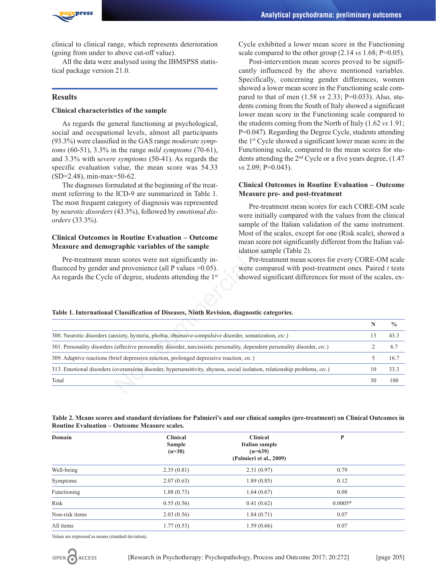

clinical to clinical range, which represents deterioration (going from under to above cut-off value).

All the data were analysed using the IBMSPSS statistical package version 21.0.

### **Results**

# **Clinical characteristics of the sample**

As regards the general functioning at psychological, social and occupational levels, almost all participants (93.3%) were classified in the GAS range *moderate symptoms* (60-51), 3.3% in the range *mild symptoms* (70-61), and 3.3% with s*evere symptoms* (50-41). As regards the specific evaluation value, the mean score was 54.33 (SD=2.48), min-max=50-62.

The diagnoses formulated at the beginning of the treatment referring to the ICD-9 are summarized in Table 1. The most frequent category of diagnosis was represented by *neurotic disorders* (43.3%), followed by *emotional disorders* (33.3%).

# **Clinical Outcomes in Routine Evaluation – Outcome Measure and demographic variables of the sample**

Cycle exhibited a lower mean score in the Functioning scale compared to the other group (2.14 *vs* 1.68; P=0.05).

Post-intervention mean scores proved to be significantly influenced by the above mentioned variables. Specifically, concerning gender differences, women showed a lower mean score in the Functioning scale compared to that of men (1.58 *vs* 2.33; P=0.033). Also, students coming from the South of Italy showed a significant lower mean score in the Functioning scale compared to the students coming from the North of Italy (1.62 *vs* 1.91; P=0.047). Regarding the Degree Cycle, students attending the 1st Cycle showed a significant lower mean score in the Functioning scale, compared to the mean scores for students attending the 2nd Cycle or a five years degree, (1.47 *vs* 2.09; P=0.043).

# **Clinical Outcomes in Routine Evaluation – Outcome Measure pre- and post-treatment**

# **Table 1. International Classification of Diseases, Ninth Revision, diagnostic categories.**

| Measure pre- and post-treatment<br>ment referring to the ICD-9 are summarized in Table 1.                                                          |                                                            |                                                                                                                                                                           |               |  |
|----------------------------------------------------------------------------------------------------------------------------------------------------|------------------------------------------------------------|---------------------------------------------------------------------------------------------------------------------------------------------------------------------------|---------------|--|
| The most frequent category of diagnosis was represented<br>by neurotic disorders (43.3%), followed by emotional dis-<br><i>orders</i> $(33.3\%)$ . |                                                            | Pre-treatment mean scores for each CORE-OM scale<br>were initially compared with the values from the clinical<br>sample of the Italian validation of the same instrument. |               |  |
| <b>Clinical Outcomes in Routine Evaluation – Outcome</b><br>Measure and demographic variables of the sample<br>idation sample (Table 2).           |                                                            | Most of the scales, except for one (Risk scale), showed a<br>mean score not significantly different from the Italian val-                                                 |               |  |
| Pre-treatment mean scores were not significantly in-                                                                                               | Pre-treatment mean scores for every CORE-OM scale          |                                                                                                                                                                           |               |  |
| fluenced by gender and provenience (all $P$ values $>0.05$ ).<br>were compared with post-treatment ones. Paired t tests                            |                                                            |                                                                                                                                                                           |               |  |
| As regards the Cycle of degree, students attending the 1st                                                                                         | showed significant differences for most of the scales, ex- |                                                                                                                                                                           |               |  |
| Table 1. International Classification of Diseases, Ninth Revision, diagnostic categories.                                                          |                                                            |                                                                                                                                                                           |               |  |
|                                                                                                                                                    |                                                            | $\mathbb N$                                                                                                                                                               | $\frac{0}{0}$ |  |
| 300. Neurotic disorders (anxiety, hysteria, phobia, obsessive-compulsive disorder, somatization, etc.)                                             |                                                            | 13                                                                                                                                                                        | 43.3          |  |
| 301. Personality disorders (affective personality disorder, narcissistic personality, dependent personality disorder, etc.)                        |                                                            | 2                                                                                                                                                                         | 6.7           |  |
| 309. Adaptive reactions (brief depressive reaction, prolonged depressive reaction, etc.)                                                           |                                                            | 5                                                                                                                                                                         | 16.7          |  |
| 313. Emotional disorders (overanxious disorder, hypersensitivity, shyness, social isolation, relationship problems, etc.)                          |                                                            | 10                                                                                                                                                                        | 33.3          |  |

| Table 2. Means scores and standard deviations for Palmieri's and our clinical samples (pre-treatment) on Clinical Outcomes in |  |
|-------------------------------------------------------------------------------------------------------------------------------|--|
| <b>Routine Evaluation – Outcome Measure scales.</b>                                                                           |  |

| Domain         | <b>Clinical</b><br>Sample<br>$(n=30)$ | <b>Clinical</b><br>Italian sample<br>$(n=639)$<br>(Palmieri et al., 2009) | P         |  |
|----------------|---------------------------------------|---------------------------------------------------------------------------|-----------|--|
| Well-being     | 2.35(0.81)                            | 2.31(0.97)                                                                | 0.79      |  |
| Symptoms       | 2.07(0.63)                            | 1.89(0.85)                                                                | 0.12      |  |
| Functioning    | 1.88(0.73)                            | 1.64(0.67)                                                                | 0.08      |  |
| Risk           | 0.55(0.56)                            | 0.41(0.62)                                                                | $0.0005*$ |  |
| Non-risk items | 2.03(0.56)                            | 1.84(0.71)                                                                | 0.07      |  |
| All items      | 1.77(0.53)                            | 1.59(0.66)                                                                | 0.07      |  |

Values are expressed as means (standard deviation).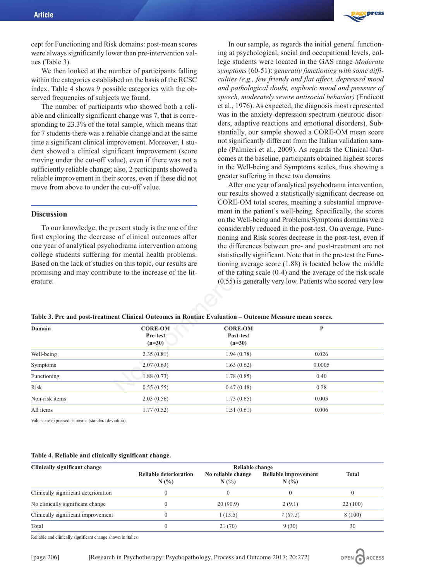

cept for Functioning and Risk domains: post-mean scores were always significantly lower than pre-intervention values (Table 3).

We then looked at the number of participants falling within the categories established on the basis of the RCSC index. Table 4 shows 9 possible categories with the observed frequencies of subjects we found.

The number of participants who showed both a reliable and clinically significant change was 7, that is corresponding to 23.3% of the total sample, which means that for 7 students there was a reliable change and at the same time a significant clinical improvement. Moreover, 1 student showed a clinical significant improvement (score moving under the cut-off value), even if there was not a sufficiently reliable change; also, 2 participants showed a reliable improvement in their scores, even if these did not move from above to under the cut-off value.

# **Discussion**

In our sample, as regards the initial general functioning at psychological, social and occupational levels, college students were located in the GAS range *Moderate symptoms* (60-51): *generally functioning with some difficulties (e.g., few friends and flat affect, depressed mood and pathological doubt, euphoric mood and pressure of speech, moderately severe antisocial behavior)* (Endicott et al., 1976). As expected, the diagnosis most represented was in the anxiety-depression spectrum (neurotic disorders, adaptive reactions and emotional disorders). Substantially, our sample showed a CORE-OM mean score not significantly different from the Italian validation sample (Palmieri et al., 2009). As regards the Clinical Outcomes at the baseline, participants obtained highest scores in the Well-being and Symptoms scales, thus showing a greater suffering in these two domains.

After one year of analytical psychodrama intervention, our results showed a statistically significant decrease on CORE-OM total scores, meaning a substantial improvement in the patient's well-being. Specifically, the scores on the Well-being and Problems/Symptoms domains were considerably reduced in the post-test. On average, Functioning and Risk scores decrease in the post-test, even if the differences between pre- and post-treatment are not statistically significant. Note that in the pre-test the Functioning average score (1.88) is located below the middle of the rating scale (0-4) and the average of the risk scale (0.55) is generally very low. Patients who scored very low

#### **Table 3. Pre and post-treatment Clinical Outcomes in Routine Evaluation – Outcome Measure mean scores.**

|                                                                                                                                     |                                                                                                        |                                                                                                                                                                                             | our results showed a statistically significant decrease on<br>CORE-OM total scores, meaning a substantial improve- |  |
|-------------------------------------------------------------------------------------------------------------------------------------|--------------------------------------------------------------------------------------------------------|---------------------------------------------------------------------------------------------------------------------------------------------------------------------------------------------|--------------------------------------------------------------------------------------------------------------------|--|
| <b>Discussion</b>                                                                                                                   |                                                                                                        | ment in the patient's well-being. Specifically, the scores<br>on the Well-being and Problems/Symptoms domains were<br>considerably reduced in the post-test. On average, Func-              |                                                                                                                    |  |
|                                                                                                                                     | To our knowledge, the present study is the one of the                                                  |                                                                                                                                                                                             |                                                                                                                    |  |
| first exploring the decrease of clinical outcomes after<br>one year of analytical psychodrama intervention among                    |                                                                                                        | tioning and Risk scores decrease in the post-test, even if<br>the differences between pre- and post-treatment are not                                                                       |                                                                                                                    |  |
|                                                                                                                                     | college students suffering for mental health problems.                                                 |                                                                                                                                                                                             | statistically significant. Note that in the pre-test the Func-                                                     |  |
| Based on the lack of studies on this topic, our results are<br>promising and may contribute to the increase of the lit-<br>erature. |                                                                                                        | tioning average score $(1.88)$ is located below the middle<br>of the rating scale $(0-4)$ and the average of the risk scale<br>$(0.55)$ is generally very low. Patients who scored very low |                                                                                                                    |  |
|                                                                                                                                     | Table 3. Pre and post-treatment Clinical Outcomes in Routine Evaluation - Outcome Measure mean scores. |                                                                                                                                                                                             |                                                                                                                    |  |
| Domain                                                                                                                              | <b>CORE-OM</b><br>Pre-test<br>$(n=30)$                                                                 | <b>CORE-OM</b><br>Post-test<br>$(n=30)$                                                                                                                                                     | $\mathbf{P}$                                                                                                       |  |
| Well-being                                                                                                                          | 2.35(0.81)                                                                                             | 1.94(0.78)                                                                                                                                                                                  | 0.026                                                                                                              |  |
| Symptoms                                                                                                                            | 2.07(0.63)                                                                                             | 1.63(0.62)                                                                                                                                                                                  | 0.0005                                                                                                             |  |
| Functioning                                                                                                                         | 1.88(0.73)                                                                                             | 1.78(0.85)                                                                                                                                                                                  | 0.40                                                                                                               |  |
| Risk                                                                                                                                | 0.55(0.55)                                                                                             | 0.47(0.48)                                                                                                                                                                                  | 0.28                                                                                                               |  |
| Non-risk items                                                                                                                      | 2.03(0.56)                                                                                             | 1.73(0.65)                                                                                                                                                                                  | 0.005                                                                                                              |  |
| All items                                                                                                                           | 1.77(0.52)                                                                                             | 1.51(0.61)                                                                                                                                                                                  | 0.006                                                                                                              |  |

Values are expressed as means (standard deviation).

#### **Table 4. Reliable and clinically significant change.**

| Clinically significant change        | Reliable change                          |                           |                             |              |
|--------------------------------------|------------------------------------------|---------------------------|-----------------------------|--------------|
|                                      | <b>Reliable deterioration</b><br>$N(\%)$ | No reliable change<br>N(% | Reliable improvement<br>N(% | <b>Total</b> |
| Clinically significant deterioration |                                          |                           |                             |              |
| No clinically significant change     |                                          | 20(90.9)                  | 2(9.1)                      | 22(100)      |
| Clinically significant improvement   |                                          | 1(13.5)                   | 7(87.5)                     | 8 (100)      |
| Total                                | C                                        | 21 (70)                   | 9(30)                       | 30           |

Reliable and clinically significant change shown in italics.

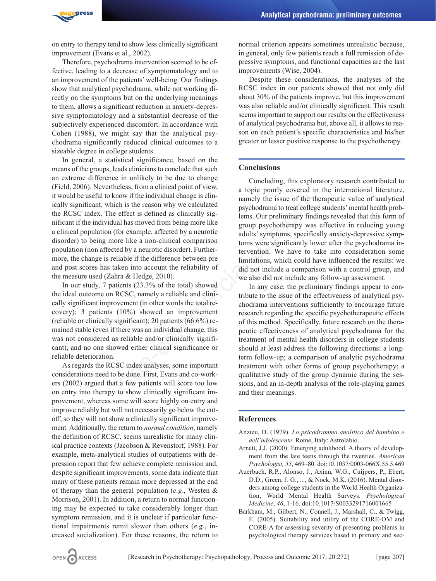

on entry to therapy tend to show less clinically significant improvement (Evans et al., 2002).

Therefore, psychodrama intervention seemed to be effective, leading to a decrease of symptomatology and to an improvement of the patients' well-being. Our findings show that analytical psychodrama, while not working directly on the symptoms but on the underlying meanings to them, allows a significant reduction in anxiety-depressive symptomatology and a substantial decrease of the subjectively experienced discomfort. In accordance with Cohen (1988), we might say that the analytical psychodrama significantly reduced clinical outcomes to a sizeable degree in college students.

In general, a statistical significance, based on the means of the groups, leads clinicians to conclude that such an extreme difference in unlikely to be due to change (Field, 2006). Nevertheless, from a clinical point of view, it would be useful to know if the individual change is clinically significant, which is the reason why we calculated the RCSC index. The effect is defined as clinically significant if the individual has moved from being more like a clinical population (for example, affected by a neurotic disorder) to being more like a non-clinical comparison population (non affected by a neurotic disorder). Furthermore, the change is reliable if the difference between pre and post scores has taken into account the reliability of the measure used (Zahra & Hedge, 2010). The same structure of the term of the individual change is clinical particle of the dividual change is clinical to predict a psychodrama to terat college stellect is defined as clinically signary lems. Our preliminary fin

In our study, 7 patients (23.3% of the total) showed the ideal outcome on RCSC, namely a reliable and clinically significant improvement (in other words the total recovery); 3 patients (10%) showed an improvement (reliable or clinically significant); 20 patients (66.6%) remained stable (even if there was an individual change, this was not considered as reliable and/or clinically significant), and no one showed either clinical significance or reliable deterioration.

As regards the RCSC index analyses, some important considerations need to be done. First, Evans and co-workers (2002) argued that a few patients will score too low on entry into therapy to show clinically significant improvement, whereas some will score highly on entry and improve reliably but will not necessarily go below the cutoff, so they will not show a clinically significant improvement. Additionally, the return to *normal condition*, namely the definition of RCSC, seems unrealistic for many clinical practice contexts (Jacobson & Revenstorf, 1988). For example, meta-analytical studies of outpatients with depression report that few achieve complete remission and, despite significant improvements, some data indicate that many of these patients remain more depressed at the end of therapy than the general population (*e.g*., Westen & Morrison, 2001). In addition, a return to normal functioning may be expected to take considerably longer than symptom remission, and it is unclear if particular functional impairments remit slower than others (*e.g*., increased socialization). For these reasons, the return to

normal criterion appears sometimes unrealistic because, in general, only few patients reach a full remission of depressive symptoms, and functional capacities are the last improvements (Wise, 2004).

Despite these considerations, the analyses of the RCSC index in our patients showed that not only did about 30% of the patients improve, but this improvement was also reliable and/or clinically significant. This result seems important to support our results on the effectiveness of analytical psychodrama but, above all, it allows to reason on each patient's specific characteristics and his/her greater or lesser positive response to the psychotherapy.

# **Conclusions**

Concluding, this exploratory research contributed to a topic poorly covered in the international literature, namely the issue of the therapeutic value of analytical psychodrama to treat college students' mental health problems. Our preliminary findings revealed that this form of group psychotherapy was effective in reducing young adults' symptoms, specifically anxiety-depressive symptoms were significantly lower after the psychodrama intervention. We have to take into consideration some limitations, which could have influenced the results: we did not include a comparison with a control group, and we also did not include any follow-up assessment.

In any case, the preliminary findings appear to contribute to the issue of the effectiveness of analytical psychodrama interventions sufficiently to encourage future research regarding the specific psychotherapeutic effects of this method. Specifically, future research on the therapeutic effectiveness of analytical psychodrama for the treatment of mental health disorders in college students should at least address the following directions: a longterm follow-up; a comparison of analytic psychodrama treatment with other forms of group psychotherapy; a qualitative study of the group dynamic during the sessions, and an in-depth analysis of the role-playing games and their meanings.

#### **References**

- Anzieu, D. (1979). *Lo psicodramma analitico del bambino e dell'adolescente*. Rome, Italy: Astrolabio.
- Arnett, J.J. (2000). Emerging adulthood. A theory of development from the late teens through the twenties. *American Psychologist, 55*, 469–80. doi:10.1037/0003-066X.55.5.469
- Auerbach, R.P., Alonso, J., Axinn, W.G., Cuijpers, P., Ebert, D.D., Green, J. G., ..., & Nock, M.K. (2016). Mental disorders among college students in the World Health Organization, World Mental Health Surveys. *Psychological Medicine*, *46*, 1-16. doi:10.1017/S0033291716001665
- Barkham, M., Gilbert, N., Connell, J., Marshall, C., & Twigg, E. (2005). Suitability and utility of the CORE-OM and CORE-A for assessing severity of presenting problems in psychological therapy services based in primary and sec-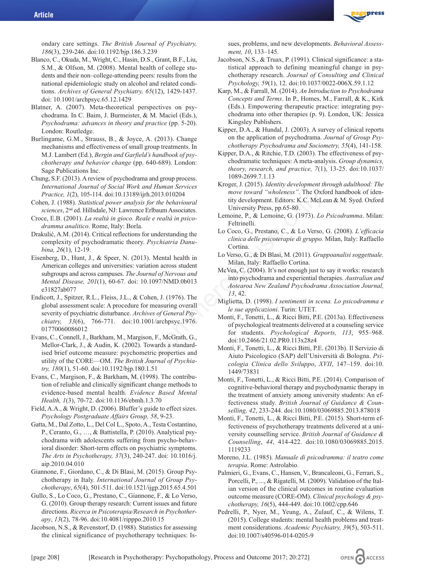

ondary care settings. *The British Journal of Psychiatry, 186*(3), 239-246. doi:10.1192/bjp.186.3.239

- Blanco, C., Okuda, M., Wright, C., Hasin, D.S., Grant, B.F., Liu, S.M., & Olfson, M. (2008). Mental health of college students and their non–college-attending peers: results from the national epidemiologic study on alcohol and related conditions. *Archives of General Psychiatry, 65*(12), 1429-1437. doi: 10.1001/archpsyc.65.12.1429
- Blatner, A. (2007). Meta-theoretical perspectives on psychodrama. In C. Baim, J. Burmeister, & M. Maciel (Eds.), *Psychodrama: advances in theory and practice* (pp. 5-20). London: Routledge.
- Burlingame, G.M., Strauss, B., & Joyce, A. (2013). Change mechanisms and effectiveness of small group treatments. In M.J. Lambert (Ed.), *Bergin and Garfield's handbook of psychotherapy and behavior change* (pp. 640-689). London: Sage Publications Inc.
- Chung, S.F. (2013). A review of psychodrama and group process. *International Journal of Social Work and Human Services Practice, 1*(2), 105-114. doi:10.13189/ijrh.2013.010204
- Cohen, J. (1988). *Statistical power analysis for the behavioural sciences*, 2nd ed. Hillsdale, NJ: Lawrence Erlbaum Associates.
- Croce, E.B. (2001). *La realtà in gioco. Reale e realtà in psicodramma analitico*. Rome, Italy: Borla.
- Drakulić, A.M. (2014). Critical reflections for understanding the complexity of psychodramatic theory. *Psychiatria Danubina, 26*(1), 12-19.
- Eisenberg, D., Hunt, J., & Speer, N. (2013). Mental health in American colleges and universities: variation across student subgroups and across campuses. *The Journal of Nervous and Mental Disease, 201*(1), 60-67. doi: 10.1097/NMD.0b013 e31827ab077
- Endicott, J., Spitzer, R.L., Fleiss, J.L., & Cohen, J. (1976). The global assessment scale: A procedure for measuring overall severity of psychiatric disturbance. *Archives of General Psychiatry, 33*(6), 766-771. doi:10.1001/archpsyc.1976. 01770060086012
- Evans, C., Connell, J., Barkham, M., Margison, F., McGrath, G., Mellor-Clark, J., & Audin, K. (2002). Towards a standardised brief outcome measure: psychometric properties and utility of the CORE—OM. *The British Journal of Psychiatry, 180*(1), 51-60. doi:10.1192/bjp.180.1.51
- Evans, C., Margison, F., & Barkham, M. (1998). The contribution of reliable and clinically significant change methods to evidence-based mental health. *Evidence Based Mental Health, 1*(3), 70-72. doi:10.1136/ebmh.1.3.70
- Field, A.A., & Wright, D. (2006). Bluffer's guide to effect sizes. *Psychology Postgraduate Affairs Group, 58*, 9-23.
- Gatta, M., Dal Zotto, L., Del Col L., Spoto, A., Testa Costantino, P., Ceranto, G., …, & Battistella, P. (2010). Analytical psychodrama with adolescents suffering from psycho-behavioral disorder: Short-term effects on psychiatric symptoms. *The Arts in Psychotherapy, 37*(3), 240-247. doi: 10.1016/j. aip.2010.04.010
- Giannone, F., Giordano, C., & Di Blasi, M. (2015). Group Psychotherapy in Italy. *International Journal of Group Psychotherapy*, *65*(4), 501-511. doi:10.1521/ijgp.2015.65.4.501
- Gullo, S., Lo Coco, G., Prestano, C., Giannone, F., & Lo Verso, G. (2010). Group therapy research: Current issues and future directions. *Ricerca in Psicoterapia/Research in Psychotherapy*, *13*(2), 78-96. doi:10.4081/ripppo.2010.15
- Jacobson, N.S., & Revenstorf, D. (1988). Statistics for assessing the clinical significance of psychotherapy techniques: Is-

sues, problems, and new developments. *Behavioral Assessment, 10*, 133–145.

- Jacobson, N.S., & Truax, P. (1991). Clinical significance: a statistical approach to defining meaningful change in psychotherapy research. *Journal of Consulting and Clinical Psychology, 59*(1), 12. doi:10.1037/0022-006X.59.1.12
- Karp, M., & Farrall, M. (2014). *An Introduction to Psychodrama Concepts and Terms*. In P., Homes, M., Farrall, & K., Kirk (Eds.). Empowering therapeutic practice: integrating psychodrama into other therapies (p. 9). London, UK: Jessica Kingsley Publishers.
- Kipper, D.A., & Hundal, J. (2003). A survey of clinical reports on the application of psychodrama. *Journal of Group Psychotherapy Psychodrama and Sociometry, 55*(4), 141-158.
- Kipper, D.A., & Ritchie, T.D. (2003). The effectiveness of psychodramatic techniques: A meta-analysis. *Group dynamics, theory, research, and practice, 7*(1), 13-25. doi:10.1037/ 1089-2699.7.1.13
- Kroger, J. (2015). *Identity development through adulthood: The move toward "wholeness"*. The Oxford handbook of identity development. Editors: K.C. McLean & M. Syed. Oxford University Press, pp.65-80.
- Lemoine, P., & Lemoine, G. (1973). *Lo Psicodramma*. Milan: Feltrinelli.
- Lo Coco, G., Prestano, C., & Lo Verso, G. (2008). *L'efficacia clinica delle psicoterapie di gruppo.* Milan, Italy: Raffaello Cortina.
- Lo Verso, G., & Di Blasi, M. (2011). *Gruppoanalisi soggettuale.* Milan, Italy: Raffaello Cortina.
- McVea, C. (2004). It's not enough just to say it works: research into psychodrama and experiential therapies. *Australian and Aotearoa New Zealand Psychodrama Association Journal, 13*, 42.
- Miglietta, D. (1998). *I sentimenti in scena. Lo psicodramma e le sue applicazioni*. Turin: UTET.
- Monti, F., Tonetti, L., & Ricci Bitti, P.E. (2013a). Effectiveness of psychological treatments delivered at a counseling service for students. *Psychological Reports, 113*, 955–968. doi:10.2466/21.02.PR0.113x28z4
- Monti, F., Tonetti, L., & Ricci Bitti, P.E. (2013b). Il Servizio di Aiuto Psicologico (SAP) dell'Università di Bologna. *Psicologia Clinica dello Sviluppo*, *XVII*, 147–159. doi:10. 1449/73831 1.10.13189/ijrh.2013.010204<br> *Move toward "wholeness"*. The Oxfore analysis for the behavioural<br>
University Press, pp.65-80.<br>
I. Lawrence Erbaum Associates.<br>
I. Lawrence Erbaum Associates<br>
referencies on gioco. Reade e re
	- Monti, F., Tonetti, L., & Ricci Bitti, P.E. (2014). Comparison of cognitive-behavioral therapy and psychodynamic therapy in the treatment of anxiety among university students: An effectiveness study. *British Journal of Guidance & Counselling, 42*, 233-244. doi:10.1080/03069885.2013.878018
	- Monti, F., Tonetti, L., & Ricci Bitti, P.E. (2015). Short-term effectiveness of psychotherapy treatments delivered at a university counselling service. *British Journal of Guidance & Counselling*, *44*, 414-422. doi:10.1080/03069885.2015. 1119233
	- Moreno, J.L. (1985). *Manuale di psicodramma: il teatro come terapia*. Rome: Astrolabio.
	- Palmieri, G., Evans, C., Hansen, V., Brancaleoni, G., Ferrari, S., Porcelli, P., ..., & Rigatelli, M. (2009). Validation of the Italian version of the clinical outcomes in routine evaluation outcome measure (CORE-OM). *Clinical psychology & psychotherapy, 16*(5), 444-449. doi:10.1002/cpp.646
	- Pedrelli, P., Nyer, M., Yeung, A., Zulauf, C., & Wilens, T. (2015). College students: mental health problems and treatment considerations. *Academic Psychiatry, 39*(5), 503-511. doi:10.1007/s40596-014-0205-9